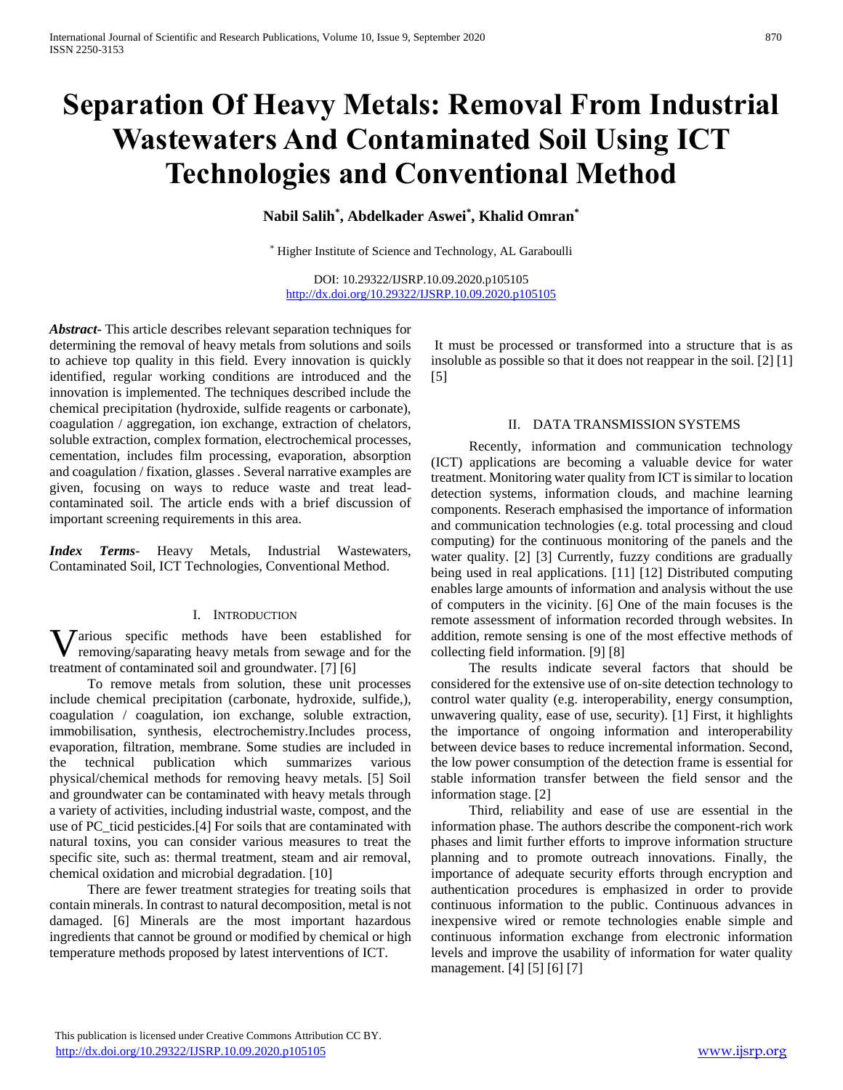# **Separation Of Heavy Metals: Removal From Industrial Wastewaters And Contaminated Soil Using ICT Technologies and Conventional Method**

**Nabil Salih\* , Abdelkader Aswei\* , Khalid Omran\***

\* Higher Institute of Science and Technology, AL Garaboulli

DOI: 10.29322/IJSRP.10.09.2020.p105105 <http://dx.doi.org/10.29322/IJSRP.10.09.2020.p105105>

*Abstract***-** This article describes relevant separation techniques for determining the removal of heavy metals from solutions and soils to achieve top quality in this field. Every innovation is quickly identified, regular working conditions are introduced and the innovation is implemented. The techniques described include the chemical precipitation (hydroxide, sulfide reagents or carbonate), coagulation / aggregation, ion exchange, extraction of chelators, soluble extraction, complex formation, electrochemical processes, cementation, includes film processing, evaporation, absorption and coagulation / fixation, glasses . Several narrative examples are given, focusing on ways to reduce waste and treat leadcontaminated soil. The article ends with a brief discussion of important screening requirements in this area.

*Index Terms*- Heavy Metals, Industrial Wastewaters, Contaminated Soil, ICT Technologies, Conventional Method.

## I. INTRODUCTION

**V** arious specific methods have been established for removing/saparating heavy metals from sewage and for the removing/saparating heavy metals from sewage and for the treatment of contaminated soil and groundwater. [7] [6]

 To remove metals from solution, these unit processes include chemical precipitation (carbonate, hydroxide, sulfide,), coagulation / coagulation, ion exchange, soluble extraction, immobilisation, synthesis, electrochemistry.Includes process, evaporation, filtration, membrane. Some studies are included in the technical publication which summarizes various physical/chemical methods for removing heavy metals. [5] Soil and groundwater can be contaminated with heavy metals through a variety of activities, including industrial waste, compost, and the use of PC\_ticid pesticides.[4] For soils that are contaminated with natural toxins, you can consider various measures to treat the specific site, such as: thermal treatment, steam and air removal, chemical oxidation and microbial degradation. [10]

 There are fewer treatment strategies for treating soils that contain minerals. In contrast to natural decomposition, metal is not damaged. [6] Minerals are the most important hazardous ingredients that cannot be ground or modified by chemical or high temperature methods proposed by latest interventions of ICT.

It must be processed or transformed into a structure that is as insoluble as possible so that it does not reappear in the soil. [2] [1] [5]

## II. DATA TRANSMISSION SYSTEMS

 Recently, information and communication technology (ICT) applications are becoming a valuable device for water treatment. Monitoring water quality from ICT is similar to location detection systems, information clouds, and machine learning components. Reserach emphasised the importance of information and communication technologies (e.g. total processing and cloud computing) for the continuous monitoring of the panels and the water quality. [2] [3] Currently, fuzzy conditions are gradually being used in real applications. [11] [12] Distributed computing enables large amounts of information and analysis without the use of computers in the vicinity. [6] One of the main focuses is the remote assessment of information recorded through websites. In addition, remote sensing is one of the most effective methods of collecting field information. [9] [8]

 The results indicate several factors that should be considered for the extensive use of on-site detection technology to control water quality (e.g. interoperability, energy consumption, unwavering quality, ease of use, security). [1] First, it highlights the importance of ongoing information and interoperability between device bases to reduce incremental information. Second, the low power consumption of the detection frame is essential for stable information transfer between the field sensor and the information stage. [2]

 Third, reliability and ease of use are essential in the information phase. The authors describe the component-rich work phases and limit further efforts to improve information structure planning and to promote outreach innovations. Finally, the importance of adequate security efforts through encryption and authentication procedures is emphasized in order to provide continuous information to the public. Continuous advances in inexpensive wired or remote technologies enable simple and continuous information exchange from electronic information levels and improve the usability of information for water quality management. [4] [5] [6] [7]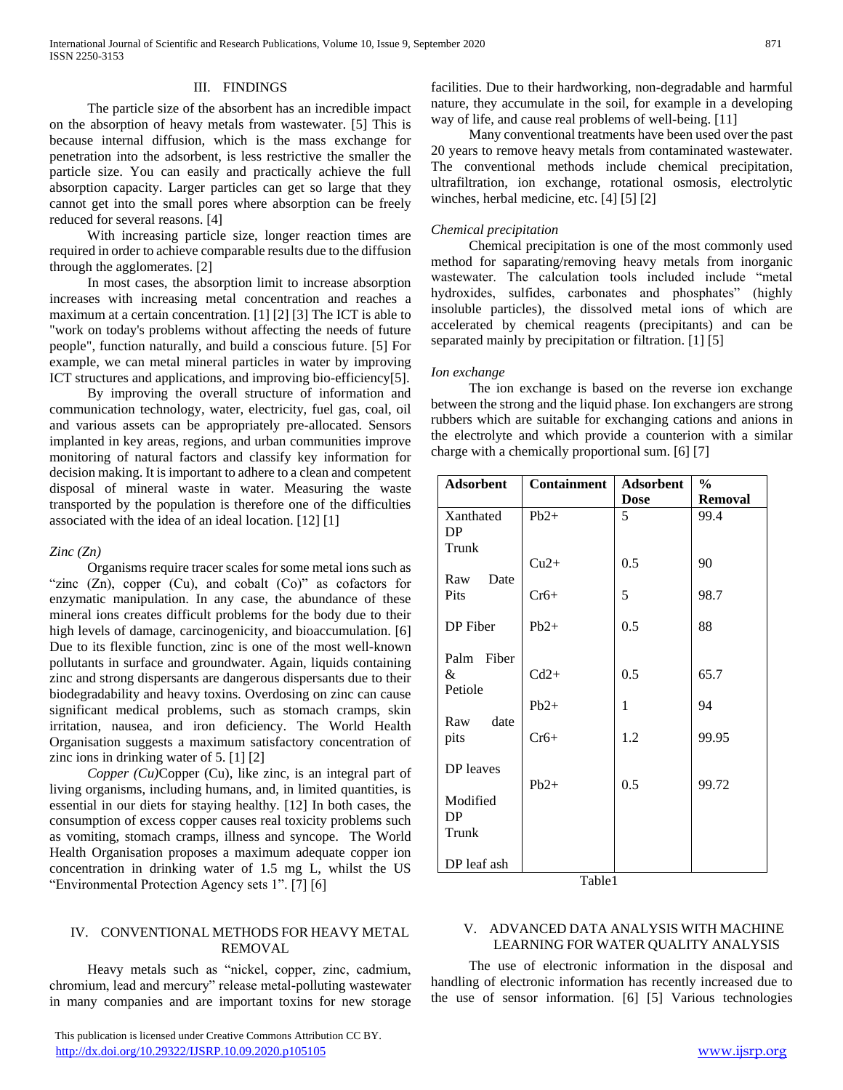## III. FINDINGS

 The particle size of the absorbent has an incredible impact on the absorption of heavy metals from wastewater. [5] This is because internal diffusion, which is the mass exchange for penetration into the adsorbent, is less restrictive the smaller the particle size. You can easily and practically achieve the full absorption capacity. Larger particles can get so large that they cannot get into the small pores where absorption can be freely reduced for several reasons. [4]

 With increasing particle size, longer reaction times are required in order to achieve comparable results due to the diffusion through the agglomerates. [2]

 In most cases, the absorption limit to increase absorption increases with increasing metal concentration and reaches a maximum at a certain concentration. [1] [2] [3] The ICT is able to "work on today's problems without affecting the needs of future people", function naturally, and build a conscious future. [5] For example, we can metal mineral particles in water by improving ICT structures and applications, and improving bio-efficiency[5].

 By improving the overall structure of information and communication technology, water, electricity, fuel gas, coal, oil and various assets can be appropriately pre-allocated. Sensors implanted in key areas, regions, and urban communities improve monitoring of natural factors and classify key information for decision making. It is important to adhere to a clean and competent disposal of mineral waste in water. Measuring the waste transported by the population is therefore one of the difficulties associated with the idea of an ideal location. [12] [1]

### *Zinc (Zn)*

 Organisms require tracer scales for some metal ions such as "zinc  $(Zn)$ , copper  $(Cu)$ , and cobalt  $(Co)$ " as cofactors for enzymatic manipulation. In any case, the abundance of these mineral ions creates difficult problems for the body due to their high levels of damage, carcinogenicity, and bioaccumulation. [6] Due to its flexible function, zinc is one of the most well-known pollutants in surface and groundwater. Again, liquids containing zinc and strong dispersants are dangerous dispersants due to their biodegradability and heavy toxins. Overdosing on zinc can cause significant medical problems, such as stomach cramps, skin irritation, nausea, and iron deficiency. The World Health Organisation suggests a maximum satisfactory concentration of zinc ions in drinking water of 5. [1] [2]

*Copper (Cu)*Copper (Cu), like zinc, is an integral part of living organisms, including humans, and, in limited quantities, is essential in our diets for staying healthy. [12] In both cases, the consumption of excess copper causes real toxicity problems such as vomiting, stomach cramps, illness and syncope. The World Health Organisation proposes a maximum adequate copper ion concentration in drinking water of 1.5 mg L, whilst the US "Environmental Protection Agency sets 1". [7] [6]

## IV. CONVENTIONAL METHODS FOR HEAVY METAL REMOVAL

 Heavy metals such as "nickel, copper, zinc, cadmium, chromium, lead and mercury" release metal-polluting wastewater in many companies and are important toxins for new storage facilities. Due to their hardworking, non-degradable and harmful nature, they accumulate in the soil, for example in a developing way of life, and cause real problems of well-being. [11]

 Many conventional treatments have been used over the past 20 years to remove heavy metals from contaminated wastewater. The conventional methods include chemical precipitation, ultrafiltration, ion exchange, rotational osmosis, electrolytic winches, herbal medicine, etc. [4] [5] [2]

## *Chemical precipitation*

 Chemical precipitation is one of the most commonly used method for saparating/removing heavy metals from inorganic wastewater. The calculation tools included include "metal hydroxides, sulfides, carbonates and phosphates" (highly insoluble particles), the dissolved metal ions of which are accelerated by chemical reagents (precipitants) and can be separated mainly by precipitation or filtration. [1] [5]

## *Ion exchange*

 The ion exchange is based on the reverse ion exchange between the strong and the liquid phase. Ion exchangers are strong rubbers which are suitable for exchanging cations and anions in the electrolyte and which provide a counterion with a similar charge with a chemically proportional sum. [6] [7]

| <b>Adsorbent</b> | <b>Containment</b> | <b>Adsorbent</b> | $\%$    |
|------------------|--------------------|------------------|---------|
|                  |                    | <b>Dose</b>      | Removal |
| Xanthated        | $Pb2+$             | 5                | 99.4    |
| DP               |                    |                  |         |
| Trunk            |                    |                  |         |
|                  | $Cu2+$             | 0.5              | 90      |
| Raw<br>Date      |                    |                  |         |
| Pits             | $Cr6+$             | 5                | 98.7    |
| DP Fiber         | $Pb2+$             | 0.5              | 88      |
|                  |                    |                  |         |
| Palm Fiber       |                    |                  |         |
| &                | $Cd2+$             | 0.5              | 65.7    |
| Petiole          |                    |                  |         |
|                  | $Pb2+$             | 1                | 94      |
| date<br>Raw      |                    |                  |         |
| pits             | $Cr6+$             | 1.2              | 99.95   |
|                  |                    |                  |         |
| DP leaves        |                    |                  |         |
| Modified         | $Pb2+$             | 0.5              | 99.72   |
| DP               |                    |                  |         |
| Trunk            |                    |                  |         |
|                  |                    |                  |         |
| DP leaf ash      |                    |                  |         |

Table1

## V. ADVANCED DATA ANALYSIS WITH MACHINE LEARNING FOR WATER QUALITY ANALYSIS

 The use of electronic information in the disposal and handling of electronic information has recently increased due to the use of sensor information. [6] [5] Various technologies